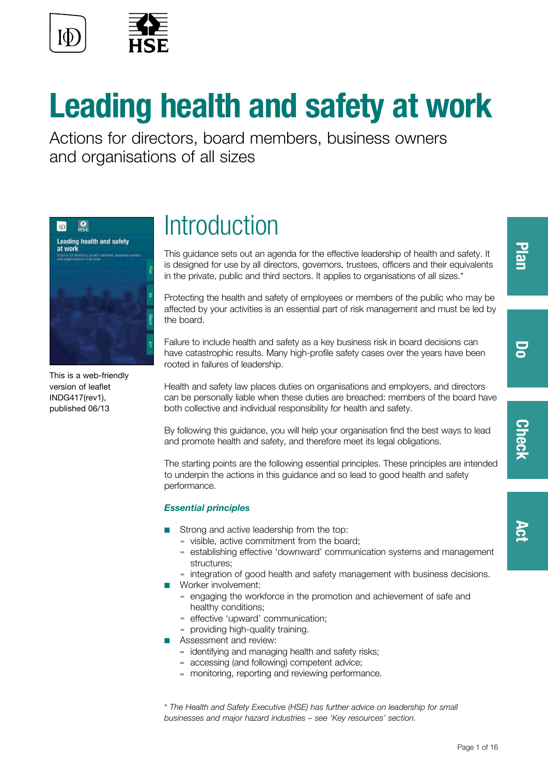

# **Leading health and safety at work**

Actions for directors, board members, business owners and organisations of all sizes



This is a web-friendly version of leaflet INDG417(rev1), published 06/13

## **Introduction**

This guidance sets out an agenda for the effective leadership of health and safety. It is designed for use by all directors, governors, trustees, officers and their equivalents in the private, public and third sectors. It applies to organisations of all sizes.\*

Protecting the health and safety of employees or members of the public who may be affected by your activities is an essential part of risk management and must be led by the board.

Failure to include health and safety as a key business risk in board decisions can have catastrophic results. Many high-profile safety cases over the years have been rooted in failures of leadership.

Health and safety law places duties on organisations and employers, and directors can be personally liable when these duties are breached: members of the board have both collective and individual responsibility for health and safety.

By following this guidance, you will help your organisation find the best ways to lead and promote health and safety, and therefore meet its legal obligations.

The starting points are the following essential principles. These principles are intended to underpin the actions in this guidance and so lead to good health and safety performance.

### *Essential principles*

- Strong and active leadership from the top:
	- ▬ visible, active commitment from the board;
	- ▬ establishing effective 'downward' communication systems and management structures;
	- integration of good health and safety management with business decisions.
- Worker involvement:
	- ▬ engaging the workforce in the promotion and achievement of safe and healthy conditions;
	- ▬ effective 'upward' communication;
	- providing high-quality training.
- Assessment and review:
	- identifying and managing health and safety risks;
	- accessing (and following) competent advice;
	- monitoring, reporting and reviewing performance.

\* *The Health and Safety Executive (HSE) has further advice on leadership for small businesses and major hazard industries – see 'Key resources' section.*

**Check** 

50

**[Act](#page-6-0)**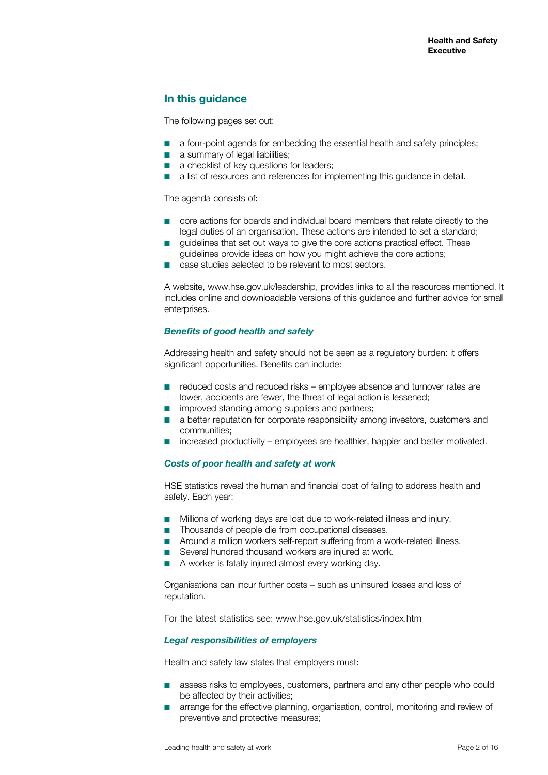### **In this guidance**

The following pages set out:

- a four-point agenda for embedding the essential health and safety principles;
- a summary of legal liabilities;
- a checklist of key questions for leaders:
- a list of resources and references for implementing this guidance in detail.

The agenda consists of:

- core actions for boards and individual board members that relate directly to the legal duties of an organisation. These actions are intended to set a standard;
- quidelines that set out ways to give the core actions practical effect. These guidelines provide ideas on how you might achieve the core actions;
- case studies selected to be relevant to most sectors.

A website, [www.hse.gov.uk/leadership,](http://www.hse.gov.uk/leadership,) provides links to all the resources mentioned. It includes online and downloadable versions of this guidance and further advice for small enterprises.

#### *Benefits of good health and safety*

Addressing health and safety should not be seen as a regulatory burden: it offers significant opportunities. Benefits can include:

- reduced costs and reduced risks employee absence and turnover rates are lower, accidents are fewer, the threat of legal action is lessened;
- improved standing among suppliers and partners;
- a better reputation for corporate responsibility among investors, customers and communities;
- increased productivity employees are healthier, happier and better motivated.

#### *Costs of poor health and safety at work*

HSE statistics reveal the human and financial cost of failing to address health and safety. Each year:

- Millions of working days are lost due to work-related illness and injury.
- Thousands of people die from occupational diseases.
- Around a million workers self-report suffering from a work-related illness.
- Several hundred thousand workers are injured at work.
- A worker is fatally injured almost every working day.

Organisations can incur further costs – such as uninsured losses and loss of reputation.

For the latest statistics see: www.hse.gov.uk/statistics/index.htm

#### *Legal responsibilities of employers*

Health and safety law states that employers must:

- assess risks to employees, customers, partners and any other people who could be affected by their activities;
- arrange for the effective planning, organisation, control, monitoring and review of preventive and protective measures;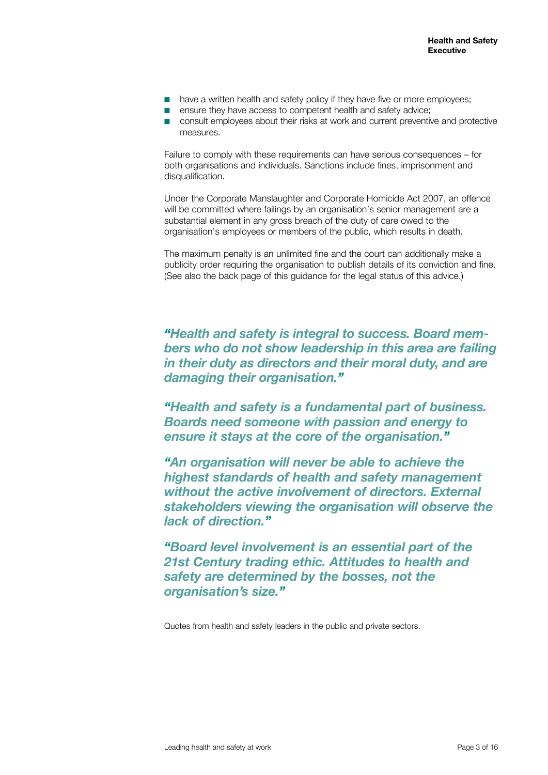- have a written health and safety policy if they have five or more employees;
- ensure they have access to competent health and safety advice:
- consult employees about their risks at work and current preventive and protective measures.

Failure to comply with these requirements can have serious consequences – for both organisations and individuals. Sanctions include fines, imprisonment and disqualification.

Under the Corporate Manslaughter and Corporate Homicide Act 2007, an offence will be committed where failings by an organisation's senior management are a substantial element in any gross breach of the duty of care owed to the organisation's employees or members of the public, which results in death.

The maximum penalty is an unlimited fine and the court can additionally make a publicity order requiring the organisation to publish details of its conviction and fine. (See also the back page of this guidance for the legal status of this advice.)

*"Health and safety is integral to success. Board members who do not show leadership in this area are failing in their duty as directors and their moral duty, and are damaging their organisation."*

*"Health and safety is a fundamental part of business. Boards need someone with passion and energy to ensure it stays at the core of the organisation."*

*"An organisation will never be able to achieve the highest standards of health and safety management without the active involvement of directors. External stakeholders viewing the organisation will observe the lack of direction."*

*"Board level involvement is an essential part of the 21st Century trading ethic. Attitudes to health and safety are determined by the bosses, not the organisation's size."*

Quotes from health and safety leaders in the public and private sectors.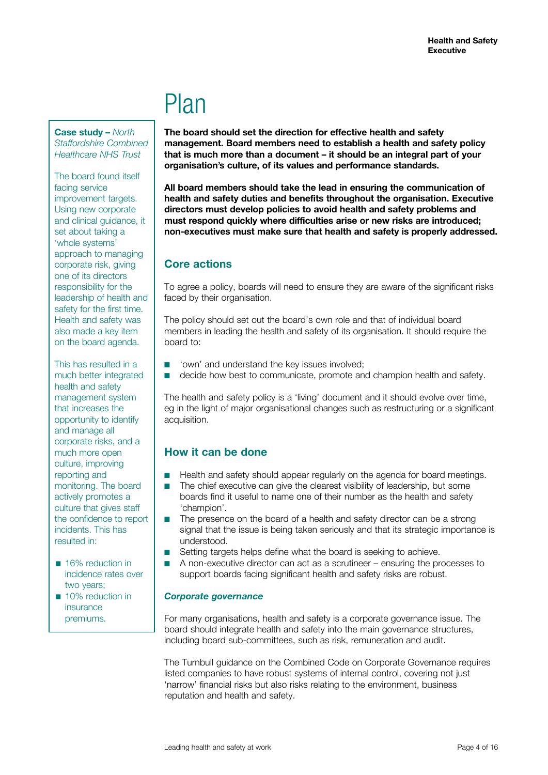## Plan

<span id="page-3-0"></span>**Case study –** *North Staffordshire Combined Healthcare NHS Trust*

The board found itself facing service improvement targets. Using new corporate and clinical guidance, it set about taking a 'whole systems' approach to managing corporate risk, giving one of its directors responsibility for the leadership of health and safety for the first time. Health and safety was also made a key item on the board agenda.

This has resulted in a much better integrated health and safety management system that increases the opportunity to identify and manage all corporate risks, and a much more open culture, improving reporting and monitoring. The board actively promotes a culture that gives staff the confidence to report incidents. This has resulted in:

- 16% reduction in incidence rates over two years;
- 10% reduction in insurance premiums.

**The board should set the direction for effective health and safety management. Board members need to establish a health and safety policy that is much more than a document – it should be an integral part of your organisation's culture, of its values and performance standards.** 

**All board members should take the lead in ensuring the communication of health and safety duties and benefits throughout the organisation. Executive directors must develop policies to avoid health and safety problems and must respond quickly where difficulties arise or new risks are introduced; non-executives must make sure that health and safety is properly addressed.**

## **Core actions**

To agree a policy, boards will need to ensure they are aware of the significant risks faced by their organisation.

The policy should set out the board's own role and that of individual board members in leading the health and safety of its organisation. It should require the board to:

- 'own' and understand the key issues involved;
- decide how best to communicate, promote and champion health and safety.

The health and safety policy is a 'living' document and it should evolve over time, eg in the light of major organisational changes such as restructuring or a significant acquisition.

## **How it can be done**

- Health and safety should appear regularly on the agenda for board meetings.
- The chief executive can give the clearest visibility of leadership, but some boards find it useful to name one of their number as the health and safety 'champion'.
- The presence on the board of a health and safety director can be a strong signal that the issue is being taken seriously and that its strategic importance is understood.
- Setting targets helps define what the board is seeking to achieve.
- A non-executive director can act as a scrutineer ensuring the processes to support boards facing significant health and safety risks are robust.

#### *Corporate governance*

For many organisations, health and safety is a corporate governance issue. The board should integrate health and safety into the main governance structures, including board sub-committees, such as risk, remuneration and audit.

The Turnbull guidance on the Combined Code on Corporate Governance requires listed companies to have robust systems of internal control, covering not just 'narrow' financial risks but also risks relating to the environment, business reputation and health and safety.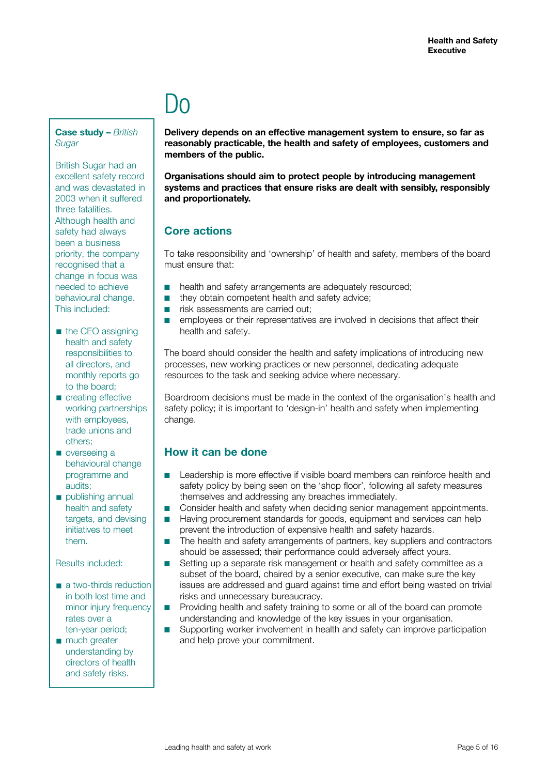## l In

<span id="page-4-0"></span>**Case study –** *British Sugar*

British Sugar had an excellent safety record and was devastated in 2003 when it suffered three fatalities. Although health and safety had always been a business priority, the company recognised that a change in focus was needed to achieve behavioural change. This included:

- the CEO assigning health and safety responsibilities to all directors, and monthly reports go to the board;
- creating effective working partnerships with employees, trade unions and others;
- overseeing a behavioural change programme and audits;
- publishing annual health and safety targets, and devising initiatives to meet them.

Results included:

- a two-thirds reduction in both lost time and minor injury frequency rates over a ten-year period;
- much greater understanding by directors of health and safety risks.

**Delivery depends on an effective management system to ensure, so far as reasonably practicable, the health and safety of employees, customers and members of the public.** 

**Organisations should aim to protect people by introducing management systems and practices that ensure risks are dealt with sensibly, responsibly and proportionately.**

### **Core actions**

To take responsibility and 'ownership' of health and safety, members of the board must ensure that:

- health and safety arrangements are adequately resourced:
- they obtain competent health and safety advice:
- risk assessments are carried out;
- employees or their representatives are involved in decisions that affect their health and safety.

The board should consider the health and safety implications of introducing new processes, new working practices or new personnel, dedicating adequate resources to the task and seeking advice where necessary.

Boardroom decisions must be made in the context of the organisation's health and safety policy; it is important to 'design-in' health and safety when implementing change.

## **How it can be done**

- Leadership is more effective if visible board members can reinforce health and safety policy by being seen on the 'shop floor', following all safety measures themselves and addressing any breaches immediately.
- Consider health and safety when deciding senior management appointments.
- Having procurement standards for goods, equipment and services can help prevent the introduction of expensive health and safety hazards.
- The health and safety arrangements of partners, key suppliers and contractors should be assessed; their performance could adversely affect yours.
- Setting up a separate risk management or health and safety committee as a subset of the board, chaired by a senior executive, can make sure the key issues are addressed and guard against time and effort being wasted on trivial risks and unnecessary bureaucracy.
- Providing health and safety training to some or all of the board can promote understanding and knowledge of the key issues in your organisation.
- Supporting worker involvement in health and safety can improve participation and help prove your commitment.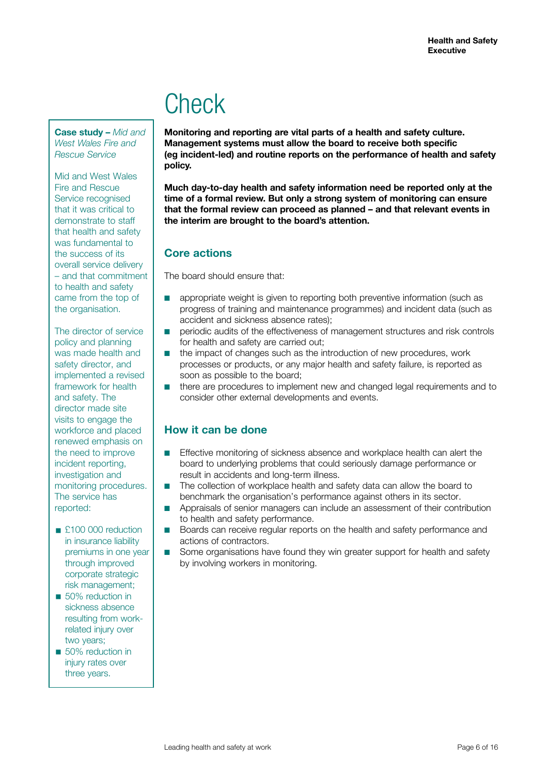## **Check**

<span id="page-5-0"></span>**Case study –** *Mid and West Wales Fire and Rescue Service*

Mid and West Wales Fire and Rescue Service recognised that it was critical to demonstrate to staff that health and safety was fundamental to the success of its overall service delivery – and that commitment to health and safety came from the top of the organisation.

The director of service policy and planning was made health and safety director, and implemented a revised framework for health and safety. The director made site visits to engage the workforce and placed renewed emphasis on the need to improve incident reporting, investigation and monitoring procedures. The service has reported:

■ £100 000 reduction in insurance liability premiums in one year through improved corporate strategic risk management;

■ 50% reduction in sickness absence resulting from workrelated injury over two years;

■ 50% reduction in injury rates over three years.

**Monitoring and reporting are vital parts of a health and safety culture. Management systems must allow the board to receive both specific (eg incident-led) and routine reports on the performance of health and safety policy.** 

**Much day-to-day health and safety information need be reported only at the time of a formal review. But only a strong system of monitoring can ensure that the formal review can proceed as planned – and that relevant events in the interim are brought to the board's attention.**

## **Core actions**

The board should ensure that:

- appropriate weight is given to reporting both preventive information (such as progress of training and maintenance programmes) and incident data (such as accident and sickness absence rates);
- periodic audits of the effectiveness of management structures and risk controls for health and safety are carried out;
- the impact of changes such as the introduction of new procedures, work processes or products, or any major health and safety failure, is reported as soon as possible to the board;
- there are procedures to implement new and changed legal requirements and to consider other external developments and events.

## **How it can be done**

- Effective monitoring of sickness absence and workplace health can alert the board to underlying problems that could seriously damage performance or result in accidents and long-term illness.
- The collection of workplace health and safety data can allow the board to benchmark the organisation's performance against others in its sector.
- Appraisals of senior managers can include an assessment of their contribution to health and safety performance.
- Boards can receive regular reports on the health and safety performance and actions of contractors.
- Some organisations have found they win greater support for health and safety by involving workers in monitoring.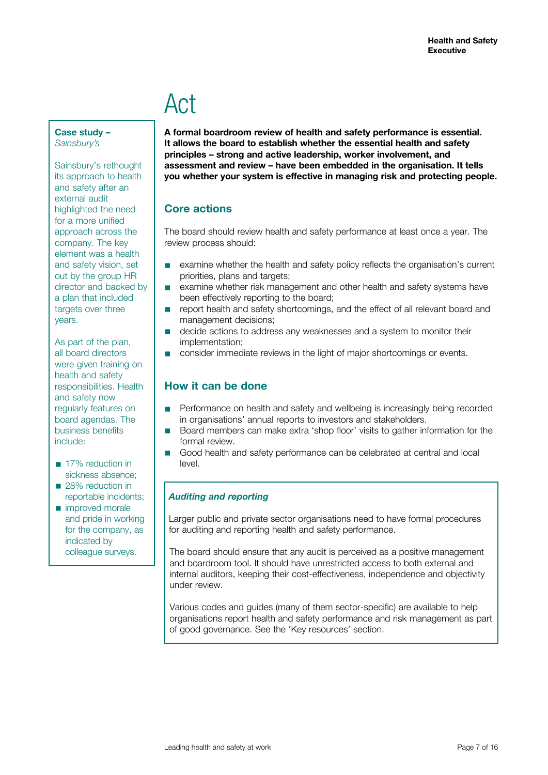## Act

<span id="page-6-0"></span>**Case study –**  *Sainsbury's*

Sainsbury's rethought its approach to health and safety after an external audit highlighted the need for a more unified approach across the company. The key element was a health and safety vision, set out by the group HR director and backed by a plan that included targets over three years.

As part of the plan, all board directors were given training on health and safety responsibilities. Health and safety now regularly features on board agendas. The business benefits include:

- 17% reduction in sickness absence; ■ 28% reduction in
- reportable incidents;
- improved morale and pride in working for the company, as indicated by colleague surveys.

**A formal boardroom review of health and safety performance is essential. It allows the board to establish whether the essential health and safety principles – strong and active leadership, worker involvement, and assessment and review – have been embedded in the organisation. It tells you whether your system is effective in managing risk and protecting people.**

## **Core actions**

The board should review health and safety performance at least once a year. The review process should:

- examine whether the health and safety policy reflects the organisation's current priorities, plans and targets;
- examine whether risk management and other health and safety systems have been effectively reporting to the board;
- report health and safety shortcomings, and the effect of all relevant board and management decisions;
- decide actions to address any weaknesses and a system to monitor their implementation;
- consider immediate reviews in the light of major shortcomings or events.

## **How it can be done**

- Performance on health and safety and wellbeing is increasingly being recorded in organisations' annual reports to investors and stakeholders.
- Board members can make extra 'shop floor' visits to gather information for the formal review.
- Good health and safety performance can be celebrated at central and local level.

### *Auditing and reporting*

Larger public and private sector organisations need to have formal procedures for auditing and reporting health and safety performance.

The board should ensure that any audit is perceived as a positive management and boardroom tool. It should have unrestricted access to both external and internal auditors, keeping their cost-effectiveness, independence and objectivity under review.

Various codes and guides (many of them sector-specific) are available to help organisations report health and safety performance and risk management as part of good governance. See the 'Key resources' section.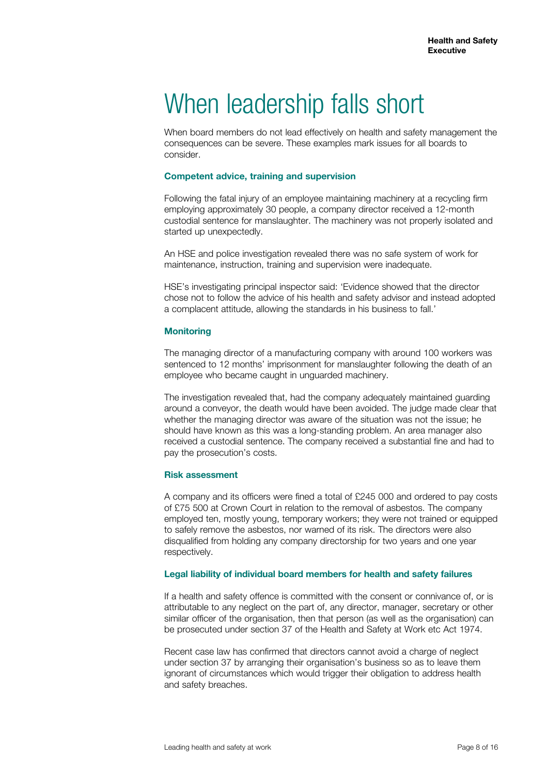## When leadership falls short

When board members do not lead effectively on health and safety management the consequences can be severe. These examples mark issues for all boards to consider.

#### **Competent advice, training and supervision**

Following the fatal injury of an employee maintaining machinery at a recycling firm employing approximately 30 people, a company director received a 12-month custodial sentence for manslaughter. The machinery was not properly isolated and started up unexpectedly.

An HSE and police investigation revealed there was no safe system of work for maintenance, instruction, training and supervision were inadequate.

HSE's investigating principal inspector said: 'Evidence showed that the director chose not to follow the advice of his health and safety advisor and instead adopted a complacent attitude, allowing the standards in his business to fall.'

#### **Monitoring**

The managing director of a manufacturing company with around 100 workers was sentenced to 12 months' imprisonment for manslaughter following the death of an employee who became caught in unguarded machinery.

The investigation revealed that, had the company adequately maintained guarding around a conveyor, the death would have been avoided. The judge made clear that whether the managing director was aware of the situation was not the issue; he should have known as this was a long-standing problem. An area manager also received a custodial sentence. The company received a substantial fine and had to pay the prosecution's costs.

#### **Risk assessment**

A company and its officers were fined a total of £245 000 and ordered to pay costs of £75 500 at Crown Court in relation to the removal of asbestos. The company employed ten, mostly young, temporary workers; they were not trained or equipped to safely remove the asbestos, nor warned of its risk. The directors were also disqualified from holding any company directorship for two years and one year respectively.

#### **Legal liability of individual board members for health and safety failures**

If a health and safety offence is committed with the consent or connivance of, or is attributable to any neglect on the part of, any director, manager, secretary or other similar officer of the organisation, then that person (as well as the organisation) can be prosecuted under section 37 of the Health and Safety at Work etc Act 1974.

Recent case law has confirmed that directors cannot avoid a charge of neglect under section 37 by arranging their organisation's business so as to leave them ignorant of circumstances which would trigger their obligation to address health and safety breaches.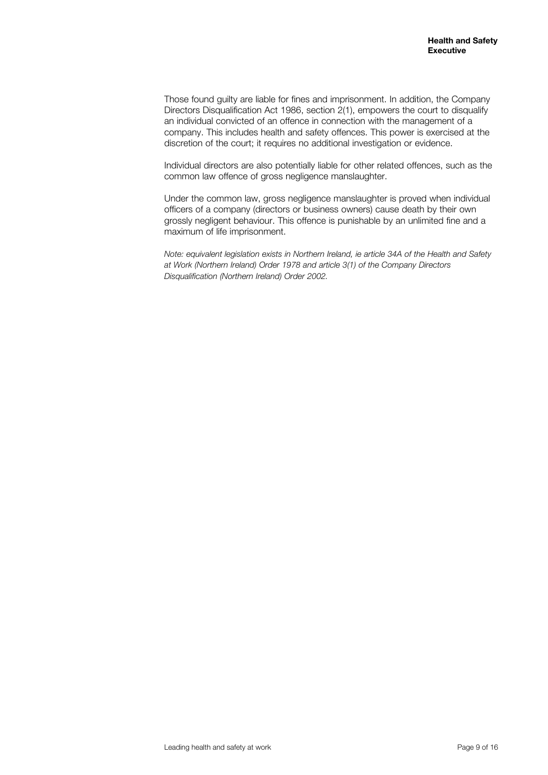Those found guilty are liable for fines and imprisonment. In addition, the Company Directors Disqualification Act 1986, section 2(1), empowers the court to disqualify an individual convicted of an offence in connection with the management of a company. This includes health and safety offences. This power is exercised at the discretion of the court; it requires no additional investigation or evidence.

Individual directors are also potentially liable for other related offences, such as the common law offence of gross negligence manslaughter.

Under the common law, gross negligence manslaughter is proved when individual officers of a company (directors or business owners) cause death by their own grossly negligent behaviour. This offence is punishable by an unlimited fine and a maximum of life imprisonment.

*Note: equivalent legislation exists in Northern Ireland, ie article 34A of the Health and Safety at Work (Northern Ireland) Order 1978 and article 3(1) of the Company Directors Disqualification (Northern Ireland) Order 2002.*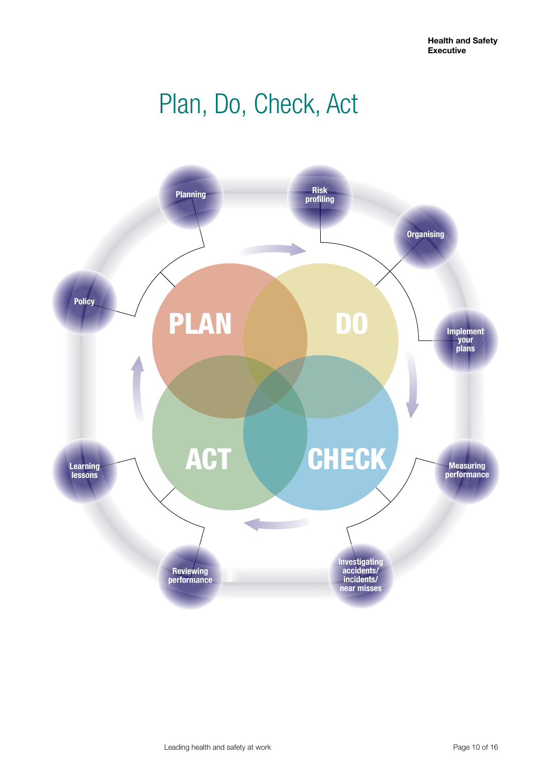## Plan, Do, Check, Act

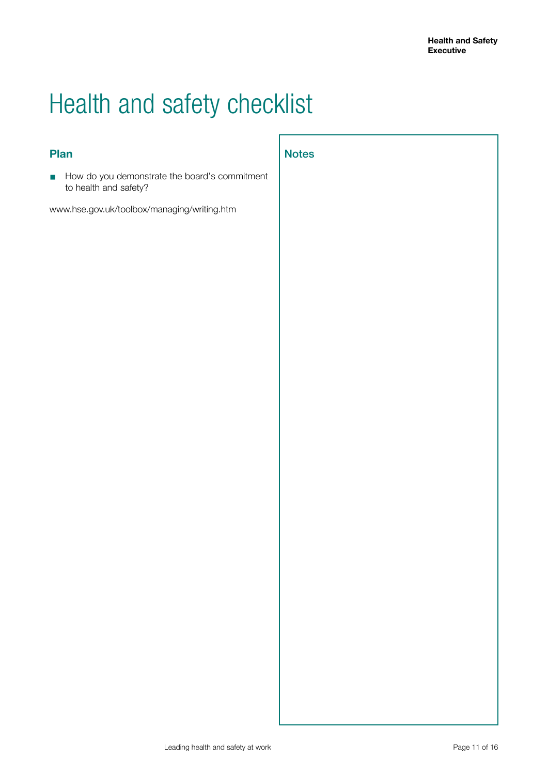## Health and safety checklist

### **Plan**

■ How do you demonstrate the board's commitment to health and safety?

www.hse.gov.uk/toolbox/managing/writing.htm

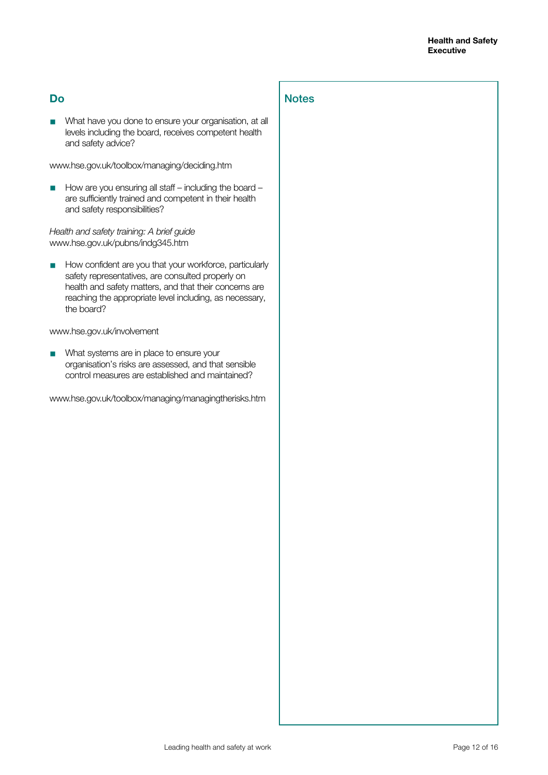### **Do**

■ What have you done to ensure your organisation, at all levels including the board, receives competent health and safety advice?

**Notes** 

#### www.hse.gov.uk/toolbox/managing/deciding.htm

■ How are you ensuring all staff – including the board – are sufficiently trained and competent in their health and safety responsibilities?

#### *Health and safety training: A brief guide*  www.hse.gov.uk/pubns/indg345.htm

■ How confident are you that your workforce, particularly safety representatives, are consulted properly on health and safety matters, and that their concerns are reaching the appropriate level including, as necessary, the board?

#### [www.hse.gov.uk/involvement](http://www.hse.gov.uk/involvement)

What systems are in place to ensure your organisation's risks are assessed, and that sensible control measures are established and maintained?

www.hse.gov.uk/toolbox/managing/managingtherisks.htm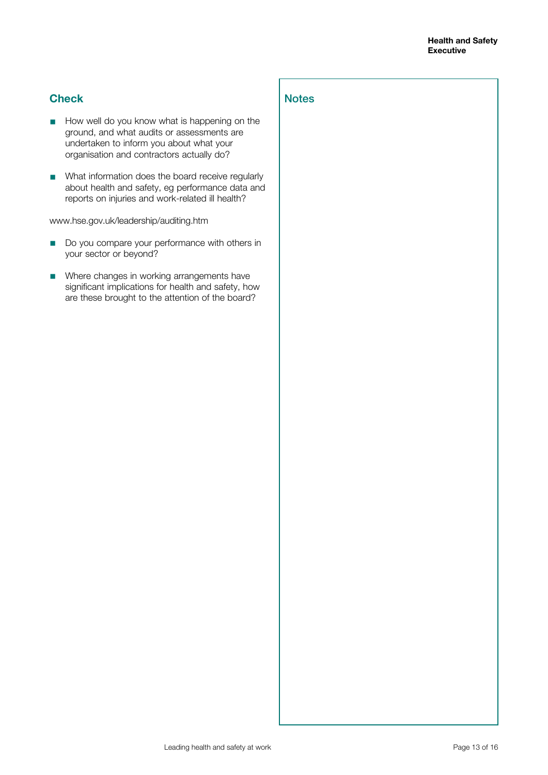### **Check**

■ How well do you know what is happening on the ground, and what audits or assessments are undertaken to inform you about what your organisation and contractors actually do?

**Notes** 

■ What information does the board receive regularly about health and safety, eg performance data and reports on injuries and work-related ill health?

[www.hse.gov.uk/leadership/auditing.htm](http://www.hse.gov.uk/leadership/auditing.htm)

- Do you compare your performance with others in your sector or beyond?
- Where changes in working arrangements have significant implications for health and safety, how are these brought to the attention of the board?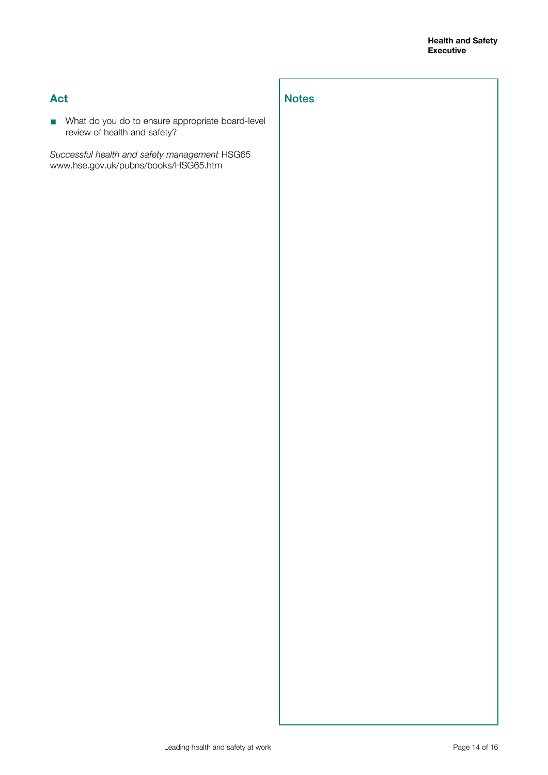### **Act**

■ What do you do to ensure appropriate board-level review of health and safety?

**Notes** 

*Successful health and safety management* HSG65 [www.hse.gov.uk/pubns/books/HSG65.htm](http://www.hse.gov.uk/pubns/books/HSG65.htm)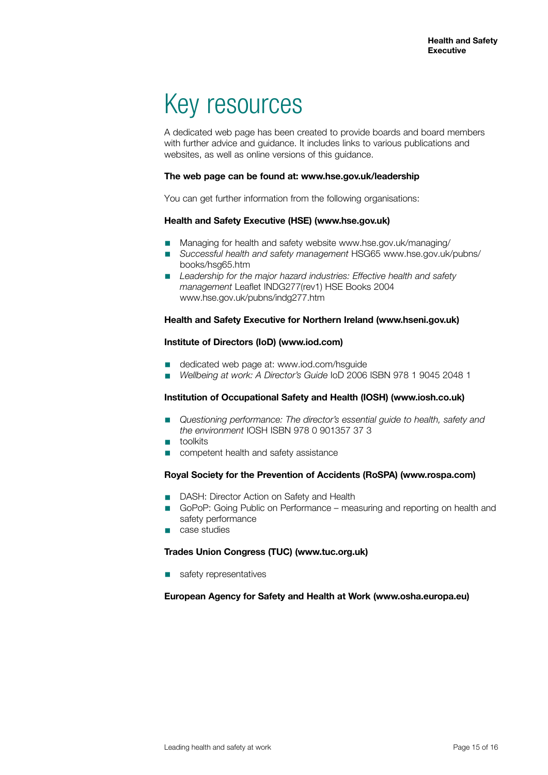## Key resources

A dedicated web page has been created to provide boards and board members with further advice and guidance. It includes links to various publications and websites, as well as online versions of this guidance.

#### **The web page can be found at: [www.hse.gov.uk/leadership](http://www.hse.gov.uk/leadership)**

You can get further information from the following organisations:

#### **Health and Safety Executive (HSE) (www.hse.gov.uk)**

- Managing for health and safety website www.hse.gov.uk/managing/
- *Successful health and safety management* HSG65 www.hse.gov.uk/pubns/ books/hsg65.htm
- *Leadership for the major hazard industries: Effective health and safety management* Leaflet INDG277(rev1) HSE Books 2004 www.hse.gov.uk/pubns/indg277.htm

#### **Health and Safety Executive for Northern Ireland (www.hseni.gov.uk)**

#### **Institute of Directors (IoD) (www.iod.com)**

- dedicated web page at: [www.iod.com/hsguide](http://www.iod.com/hsguide)
- *Wellbeing at work: A Director's Guide* IoD 2006 ISBN 978 1 9045 2048 1

#### **Institution of Occupational Safety and Health (IOSH) (www.iosh.co.uk)**

- *Questioning performance: The director's essential guide to health, safety and the environment* IOSH ISBN 978 0 901357 37 3
- toolkits
- competent health and safety assistance

#### **Royal Society for the Prevention of Accidents (RoSPA) (www.rospa.com)**

- DASH: Director Action on Safety and Health
- GoPoP: Going Public on Performance measuring and reporting on health and safety performance
- case studies

#### **Trades Union Congress (TUC) [\(www.tuc.org.uk\)](http://www.tuc.org.uk)**

safety representatives

#### **European Agency for Safety and Health at Work (www.osha.europa.eu)**